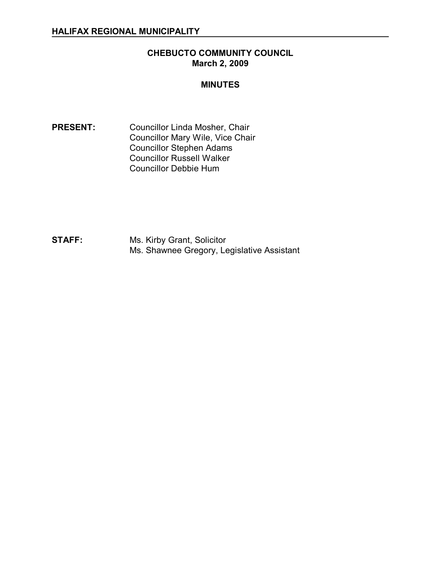## **CHEBUCTO COMMUNITY COUNCIL March 2, 2009**

#### **MINUTES**

**PRESENT:** Councillor Linda Mosher, Chair Councillor Mary Wile, Vice Chair Councillor Stephen Adams Councillor Russell Walker Councillor Debbie Hum

**STAFF:** Ms. Kirby Grant, Solicitor Ms. Shawnee Gregory, Legislative Assistant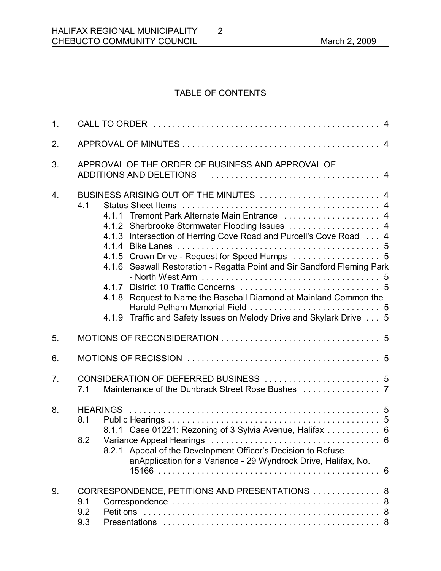# TABLE OF CONTENTS

2

| 1. |                                                                                                                                                                                                                                                                                                                                                                                                                                                                                                 |
|----|-------------------------------------------------------------------------------------------------------------------------------------------------------------------------------------------------------------------------------------------------------------------------------------------------------------------------------------------------------------------------------------------------------------------------------------------------------------------------------------------------|
| 2. |                                                                                                                                                                                                                                                                                                                                                                                                                                                                                                 |
| 3. | APPROVAL OF THE ORDER OF BUSINESS AND APPROVAL OF<br>ADDITIONS AND DELETIONS And the contract of the ADDITIONS AND DELETIONS AND THE CONTROL CONTROL CONTROL TO A C                                                                                                                                                                                                                                                                                                                             |
| 4. | BUSINESS ARISING OUT OF THE MINUTES  4<br>4.1<br>4.1.1 Tremont Park Alternate Main Entrance  4<br>4.1.2 Sherbrooke Stormwater Flooding Issues  4<br>4.1.3 Intersection of Herring Cove Road and Purcell's Cove Road  4<br>4.1.5 Crown Drive - Request for Speed Humps  5<br>4.1.6 Seawall Restoration - Regatta Point and Sir Sandford Fleming Park<br>4.1.8 Request to Name the Baseball Diamond at Mainland Common the<br>4.1.9 Traffic and Safety Issues on Melody Drive and Skylark Drive 5 |
| 5. |                                                                                                                                                                                                                                                                                                                                                                                                                                                                                                 |
| 6. |                                                                                                                                                                                                                                                                                                                                                                                                                                                                                                 |
| 7. | 7.1                                                                                                                                                                                                                                                                                                                                                                                                                                                                                             |
| 8. | 8.1<br>8.1.1 Case 01221: Rezoning of 3 Sylvia Avenue, Halifax  6<br>8.2<br>8.2.1 Appeal of the Development Officer's Decision to Refuse<br>anApplication for a Variance - 29 Wyndrock Drive, Halifax, No.                                                                                                                                                                                                                                                                                       |
| 9. | CORRESPONDENCE, PETITIONS AND PRESENTATIONS  8<br>9.1<br>9.2<br>9.3                                                                                                                                                                                                                                                                                                                                                                                                                             |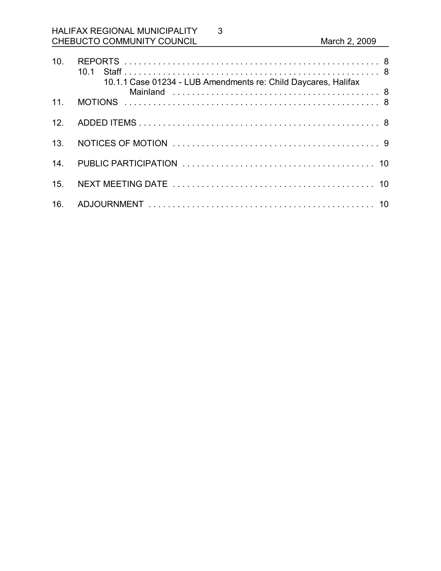# HALIFAX REGIONAL MUNICIPALITY CHEBUCTO COMMUNITY COUNCIL March 2, 2009

| 10.             | 10.1.1 Case 01234 - LUB Amendments re: Child Daycares, Halifax |  |
|-----------------|----------------------------------------------------------------|--|
| 11 <sub>1</sub> |                                                                |  |
| 12 <sub>1</sub> |                                                                |  |
| 13.             |                                                                |  |
| 14 <sub>1</sub> |                                                                |  |
| 15.             |                                                                |  |
| 16.             |                                                                |  |

3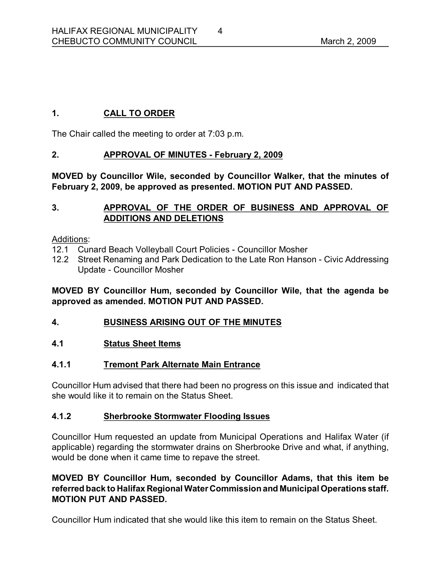# **1. CALL TO ORDER**

The Chair called the meeting to order at 7:03 p.m.

## **2. APPROVAL OF MINUTES February 2, 2009**

**MOVED by Councillor Wile, seconded by Councillor Walker, that the minutes of February 2, 2009, be approved as presented. MOTION PUT AND PASSED.** 

## **3. APPROVAL OF THE ORDER OF BUSINESS AND APPROVAL OF ADDITIONS AND DELETIONS**

#### Additions:

- 12.1 Cunard Beach Volleyball Court Policies Councillor Mosher
- 12.2 Street Renaming and Park Dedication to the Late Ron Hanson Civic Addressing Update - Councillor Mosher

**MOVED BY Councillor Hum, seconded by Councillor Wile, that the agenda be approved as amended. MOTION PUT AND PASSED.** 

## **4. BUSINESS ARISING OUT OF THE MINUTES**

#### **4.1 Status Sheet Items**

## **4.1.1 Tremont Park Alternate Main Entrance**

Councillor Hum advised that there had been no progress on this issue and indicated that she would like it to remain on the Status Sheet.

#### **4.1.2 Sherbrooke Stormwater Flooding Issues**

Councillor Hum requested an update from Municipal Operations and Halifax Water (if applicable) regarding the stormwater drains on Sherbrooke Drive and what, if anything, would be done when it came time to repave the street.

## **MOVED BY Councillor Hum, seconded by Councillor Adams, that this item be referred back to Halifax Regional Water Commissionand Municipal Operations staff. MOTION PUT AND PASSED.**

Councillor Hum indicated that she would like this item to remain on the Status Sheet.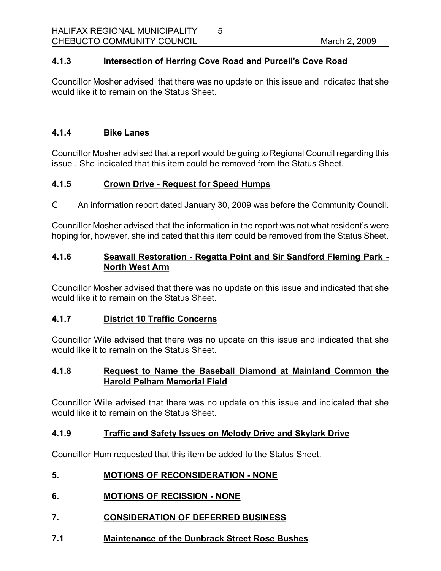### **4.1.3 Intersection of Herring Cove Road and Purcell's Cove Road**

Councillor Mosher advised that there was no update on this issue and indicated that she would like it to remain on the Status Sheet.

5

## **4.1.4 Bike Lanes**

Councillor Mosher advised that a report would be going to Regional Council regarding this issue . She indicated that this item could be removed from the Status Sheet.

## **4.1.5 Crown Drive Request for Speed Humps**

C An information report dated January 30, 2009 was before the Community Council.

Councillor Mosher advised that the information in the report was not what resident's were hoping for, however, she indicated that this item could be removed from the Status Sheet.

# **4.1.6 Seawall Restoration Regatta Point and Sir Sandford Fleming Park North West Arm**

Councillor Mosher advised that there was no update on this issue and indicated that she would like it to remain on the Status Sheet.

#### **4.1.7 District 10 Traffic Concerns**

Councillor Wile advised that there was no update on this issue and indicated that she would like it to remain on the Status Sheet.

## **4.1.8 Request to Name the Baseball Diamond at Mainland Common the Harold Pelham Memorial Field**

Councillor Wile advised that there was no update on this issue and indicated that she would like it to remain on the Status Sheet.

#### **4.1.9 Traffic and Safety Issues on Melody Drive and Skylark Drive**

Councillor Hum requested that this item be added to the Status Sheet.

- **5. MOTIONS OF RECONSIDERATION NONE**
- **6. MOTIONS OF RECISSION NONE**
- **7. CONSIDERATION OF DEFERRED BUSINESS**
- **7.1 Maintenance of the Dunbrack Street Rose Bushes**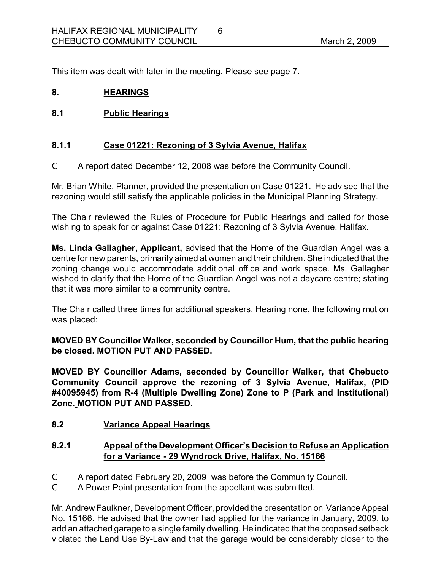This item was dealt with later in the meeting. Please see page 7.

## **8. HEARINGS**

## **8.1 Public Hearings**

## **8.1.1 Case 01221: Rezoning of 3 Sylvia Avenue, Halifax**

C A report dated December 12, 2008 was before the Community Council.

Mr. Brian White, Planner, provided the presentation on Case 01221. He advised that the rezoning would still satisfy the applicable policies in the Municipal Planning Strategy.

The Chair reviewed the Rules of Procedure for Public Hearings and called for those wishing to speak for or against Case 01221: Rezoning of 3 Sylvia Avenue, Halifax.

**Ms. Linda Gallagher, Applicant,** advised that the Home of the Guardian Angel was a centre for new parents, primarily aimed at women and their children. She indicated that the zoning change would accommodate additional office and work space. Ms. Gallagher wished to clarify that the Home of the Guardian Angel was not a daycare centre; stating that it was more similar to a community centre.

The Chair called three times for additional speakers. Hearing none, the following motion was placed:

**MOVED BY Councillor Walker, seconded by Councillor Hum, that the public hearing be closed. MOTION PUT AND PASSED.** 

**MOVED BY Councillor Adams, seconded by Councillor Walker, that Chebucto Community Council approve the rezoning of 3 Sylvia Avenue, Halifax, (PID #40095945) from R4 (Multiple Dwelling Zone) Zone to P (Park and Institutional) Zone. MOTION PUT AND PASSED.** 

## **8.2 Variance Appeal Hearings**

#### **8.2.1 Appeal of the Development Officer's Decision to Refuse an Application for a Variance 29 Wyndrock Drive, Halifax, No. 15166**

- C A report dated February 20, 2009 was before the Community Council.
- C A Power Point presentation from the appellant was submitted.

Mr.AndrewFaulkner, Development Officer, provided the presentation on Variance Appeal No. 15166. He advised that the owner had applied for the variance in January, 2009, to add an attached garage to a single family dwelling. He indicated that the proposed setback violated the Land Use By-Law and that the garage would be considerably closer to the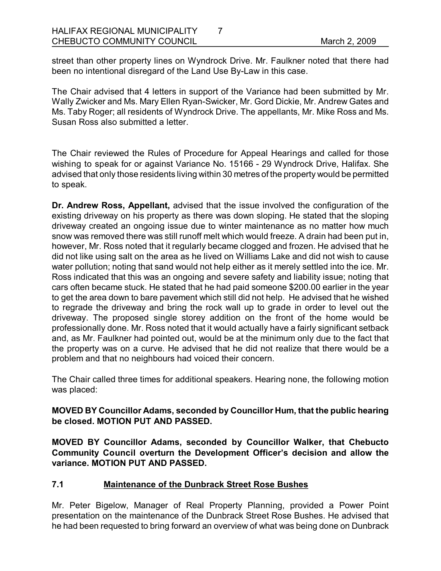street than other property lines on Wyndrock Drive. Mr. Faulkner noted that there had been no intentional disregard of the Land Use By-Law in this case.

7

The Chair advised that 4 letters in support of the Variance had been submitted by Mr. Wally Zwicker and Ms. Mary Ellen Ryan-Swicker, Mr. Gord Dickie, Mr. Andrew Gates and Ms. Taby Roger; all residents of Wyndrock Drive. The appellants, Mr. Mike Ross and Ms. Susan Ross also submitted a letter.

The Chair reviewed the Rules of Procedure for Appeal Hearings and called for those wishing to speak for or against Variance No. 15166 - 29 Wyndrock Drive, Halifax. She advised that only those residents living within 30 metres of the property would be permitted to speak.

**Dr. Andrew Ross, Appellant,** advised that the issue involved the configuration of the existing driveway on his property as there was down sloping. He stated that the sloping driveway created an ongoing issue due to winter maintenance as no matter how much snow was removed there was still runoff melt which would freeze. A drain had been put in, however, Mr. Ross noted that it regularly became clogged and frozen. He advised that he did not like using salt on the area as he lived on Williams Lake and did not wish to cause water pollution; noting that sand would not help either as it merely settled into the ice. Mr. Ross indicated that this was an ongoing and severe safety and liability issue; noting that cars often became stuck. He stated that he had paid someone \$200.00 earlier in the year to get the area down to bare pavement which still did not help. He advised that he wished to regrade the driveway and bring the rock wall up to grade in order to level out the driveway. The proposed single storey addition on the front of the home would be professionally done. Mr. Ross noted that it would actually have a fairly significant setback and, as Mr. Faulkner had pointed out, would be at the minimum only due to the fact that the property was on a curve. He advised that he did not realize that there would be a problem and that no neighbours had voiced their concern.

The Chair called three times for additional speakers. Hearing none, the following motion was placed:

**MOVED BY Councillor Adams, seconded by Councillor Hum, that the public hearing be closed. MOTION PUT AND PASSED.** 

**MOVED BY Councillor Adams, seconded by Councillor Walker, that Chebucto Community Council overturn the Development Officer's decision and allow the variance. MOTION PUT AND PASSED.** 

## **7.1 Maintenance of the Dunbrack Street Rose Bushes**

Mr. Peter Bigelow, Manager of Real Property Planning, provided a Power Point presentation on the maintenance of the Dunbrack Street Rose Bushes. He advised that he had been requested to bring forward an overview of what was being done on Dunbrack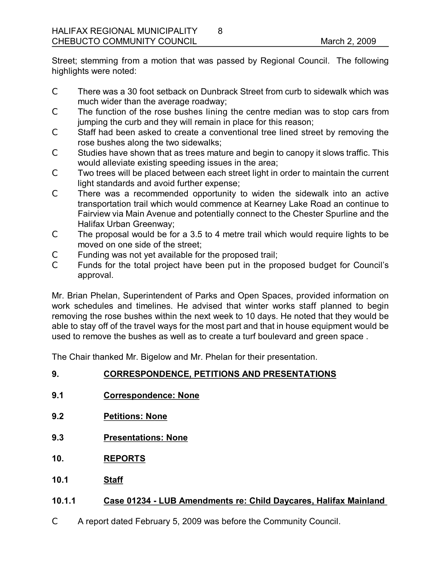Street; stemming from a motion that was passed by Regional Council. The following highlights were noted:

8

- C There was a 30 foot setback on Dunbrack Street from curb to sidewalk which was much wider than the average roadway;
- C The function of the rose bushes lining the centre median was to stop cars from jumping the curb and they will remain in place for this reason;
- C Staff had been asked to create a conventional tree lined street by removing the rose bushes along the two sidewalks;
- C Studies have shown that as trees mature and begin to canopy it slows traffic. This would alleviate existing speeding issues in the area;
- C Two trees will be placed between each street light in order to maintain the current light standards and avoid further expense;
- C There was a recommended opportunity to widen the sidewalk into an active transportation trail which would commence at Kearney Lake Road an continue to Fairview via Main Avenue and potentially connect to the Chester Spurline and the Halifax Urban Greenway;
- C The proposal would be for a 3.5 to 4 metre trail which would require lights to be moved on one side of the street;
- C Funding was not yet available for the proposed trail;
- C Funds for the total project have been put in the proposed budget for Council's approval.

Mr. Brian Phelan, Superintendent of Parks and Open Spaces, provided information on work schedules and timelines. He advised that winter works staff planned to begin removing the rose bushes within the next week to 10 days. He noted that they would be able to stay off of the travel ways for the most part and that in house equipment would be used to remove the bushes as well as to create a turf boulevard and green space .

The Chair thanked Mr. Bigelow and Mr. Phelan for their presentation.

# **9. CORRESPONDENCE, PETITIONS AND PRESENTATIONS**

- **9.1 Correspondence: None**
- **9.2 Petitions: None**
- **9.3 Presentations: None**
- **10. REPORTS**
- **10.1 Staff**

# **10.1.1 Case 01234 LUB Amendments re: Child Daycares, Halifax Mainland**

C A report dated February 5, 2009 was before the Community Council.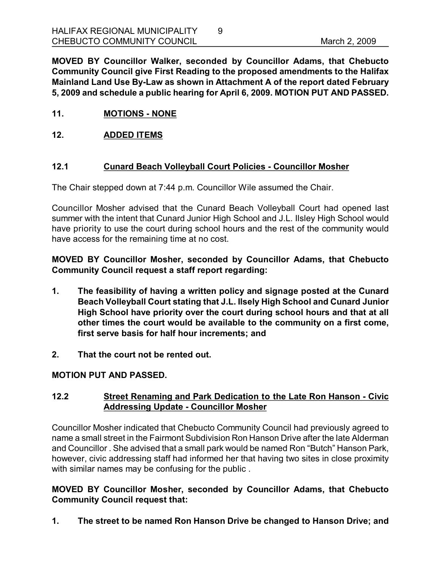**MOVED BY Councillor Walker, seconded by Councillor Adams, that Chebucto Community Council give First Reading to the proposed amendments to the Halifax Mainland Land Use ByLaw as shown in Attachment A of the report dated February 5, 2009 and schedule a public hearing for April 6, 2009. MOTION PUT AND PASSED.** 

## **11. MOTIONS NONE**

## **12. ADDED ITEMS**

#### **12.1 Cunard Beach Volleyball Court Policies Councillor Mosher**

The Chair stepped down at 7:44 p.m. Councillor Wile assumed the Chair.

Councillor Mosher advised that the Cunard Beach Volleyball Court had opened last summer with the intent that Cunard Junior High School and J.L. Ilsley High School would have priority to use the court during school hours and the rest of the community would have access for the remaining time at no cost.

**MOVED BY Councillor Mosher, seconded by Councillor Adams, that Chebucto Community Council request a staff report regarding:**

- **1. The feasibility of having a written policy and signage posted at the Cunard Beach Volleyball Court stating that J.L. Ilsely High School and Cunard Junior High School have priority over the court during school hours and that at all other times the court would be available to the community on a first come, first serve basis for half hour increments; and**
- **2. That the court not be rented out.**

#### **MOTION PUT AND PASSED.**

## **12.2 Street Renaming and Park Dedication to the Late Ron Hanson Civic Addressing Update Councillor Mosher**

Councillor Mosher indicated that Chebucto Community Council had previously agreed to name a small street in the Fairmont Subdivision Ron Hanson Drive after the late Alderman and Councillor . She advised that a small park would be named Ron "Butch" Hanson Park, however, civic addressing staff had informed her that having two sites in close proximity with similar names may be confusing for the public.

## **MOVED BY Councillor Mosher, seconded by Councillor Adams, that Chebucto Community Council request that:**

**1. The street to be named Ron Hanson Drive be changed to Hanson Drive; and**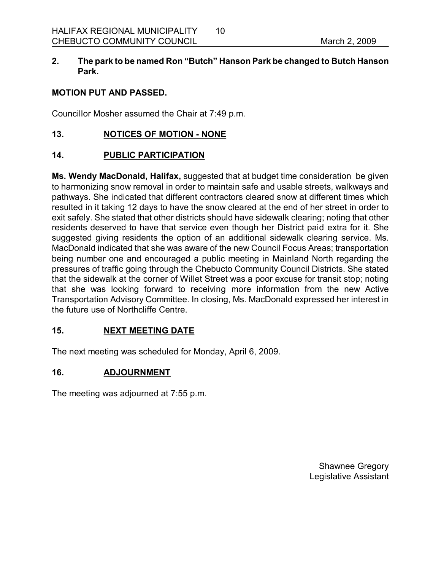## **2. The park to be named Ron "Butch" Hanson Park be changed to Butch Hanson Park.**

## **MOTION PUT AND PASSED.**

Councillor Mosher assumed the Chair at 7:49 p.m.

## **13. NOTICES OF MOTION NONE**

#### **14. PUBLIC PARTICIPATION**

**Ms. Wendy MacDonald, Halifax,** suggested that at budget time consideration be given to harmonizing snow removal in order to maintain safe and usable streets, walkways and pathways. She indicated that different contractors cleared snow at different times which resulted in it taking 12 days to have the snow cleared at the end of her street in order to exit safely. She stated that other districts should have sidewalk clearing; noting that other residents deserved to have that service even though her District paid extra for it. She suggested giving residents the option of an additional sidewalk clearing service. Ms. MacDonald indicated that she was aware of the new Council Focus Areas; transportation being number one and encouraged a public meeting in Mainland North regarding the pressures of traffic going through the Chebucto Community Council Districts. She stated that the sidewalk at the corner of Willet Street was a poor excuse for transit stop; noting that she was looking forward to receiving more information from the new Active Transportation Advisory Committee. In closing, Ms. MacDonald expressed her interest in the future use of Northcliffe Centre.

#### **15. NEXT MEETING DATE**

The next meeting was scheduled for Monday, April 6, 2009.

#### **16. ADJOURNMENT**

The meeting was adjourned at 7:55 p.m.

Shawnee Gregory Legislative Assistant